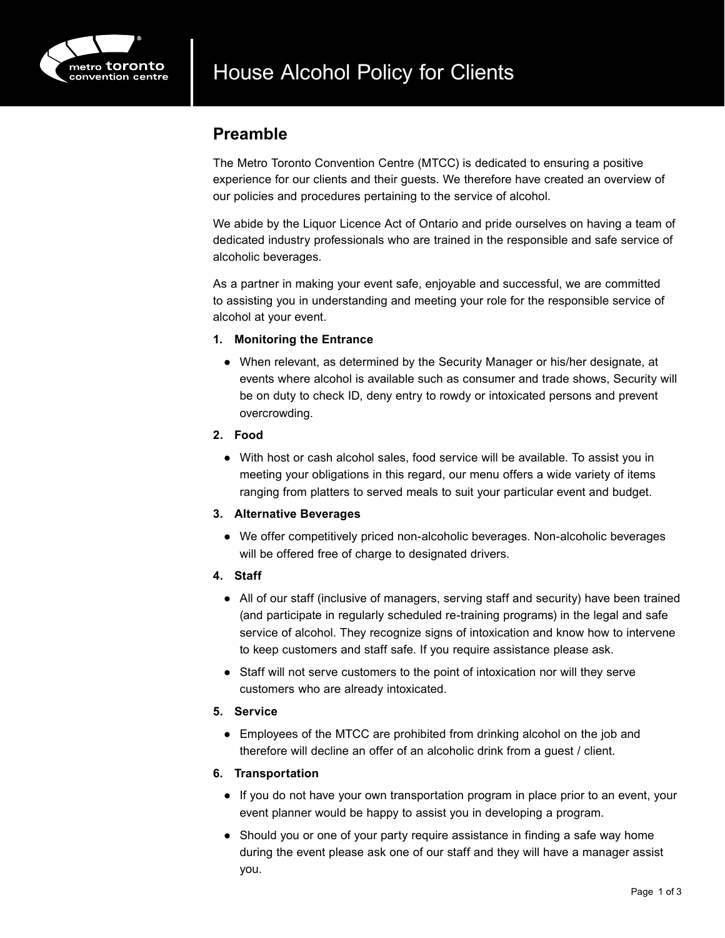

### **Preamble**

The Metro Toronto Convention Centre (MTCC) is dedicated to ensuring a positive experience for our clients and their guests. We therefore have created an overview of our policies and procedures pertaining to the service of alcohol.

We abide by the Liquor Licence Act of Ontario and pride ourselves on having a team of dedicated industry professionals who are trained in the responsible and safe service of alcoholic beverages.

As a partner in making your event safe, enjoyable and successful, we are committed to assisting you in understanding and meeting your role for the responsible service of alcohol at your event.

#### **1. Monitoring the Entrance**

- When relevant, as determined by the Security Manager or his/her designate, at events where alcohol is available such as consumer and trade shows, Security will be on duty to check ID, deny entry to rowdy or intoxicated persons and prevent overcrowding.
- **2. Food**
	- With host or cash alcohol sales, food service will be available. To assist you in meeting your obligations in this regard, our menu offers a wide variety of items ranging from platters to served meals to suit your particular event and budget.

#### **3. Alternative Beverages**

- We offer competitively priced non-alcoholic beverages. Non-alcoholic beverages will be offered free of charge to designated drivers.
- **4. Staff**
	- All of our staff (inclusive of managers, serving staff and security) have been trained (and participate in regularly scheduled re-training programs) in the legal and safe service of alcohol. They recognize signs of intoxication and know how to intervene to keep customers and staff safe. If you require assistance please ask.
	- Staff will not serve customers to the point of intoxication nor will they serve customers who are already intoxicated.

#### **5. Service**

● Employees of the MTCC are prohibited from drinking alcohol on the job and therefore will decline an offer of an alcoholic drink from a guest / client.

#### **6. Transportation**

- If you do not have your own transportation program in place prior to an event, your event planner would be happy to assist you in developing a program.
- Should you or one of your party require assistance in finding a safe way home during the event please ask one of our staff and they will have a manager assist you.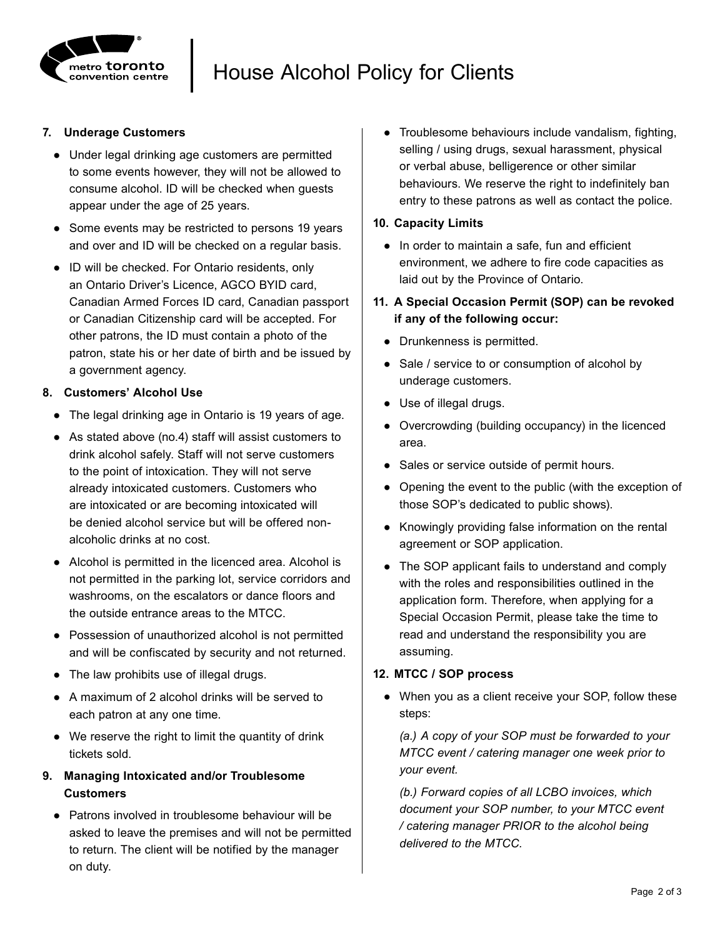

## House Alcohol Policy for Clients

#### **7. Underage Customers**

- Under legal drinking age customers are permitted to some events however, they will not be allowed to consume alcohol. ID will be checked when guests appear under the age of 25 years.
- Some events may be restricted to persons 19 years and over and ID will be checked on a regular basis.
- ID will be checked. For Ontario residents, only an Ontario Driver's Licence, AGCO BYID card, Canadian Armed Forces ID card, Canadian passport or Canadian Citizenship card will be accepted. For other patrons, the ID must contain a photo of the patron, state his or her date of birth and be issued by a government agency.

#### **8. Customers' Alcohol Use**

- The legal drinking age in Ontario is 19 years of age.
- As stated above (no.4) staff will assist customers to drink alcohol safely. Staff will not serve customers to the point of intoxication. They will not serve already intoxicated customers. Customers who are intoxicated or are becoming intoxicated will be denied alcohol service but will be offered nonalcoholic drinks at no cost.
- Alcohol is permitted in the licenced area. Alcohol is not permitted in the parking lot, service corridors and washrooms, on the escalators or dance floors and the outside entrance areas to the MTCC.
- Possession of unauthorized alcohol is not permitted and will be confiscated by security and not returned.
- The law prohibits use of illegal drugs.
- A maximum of 2 alcohol drinks will be served to each patron at any one time.
- We reserve the right to limit the quantity of drink tickets sold.
- **9. Managing Intoxicated and/or Troublesome Customers**
	- Patrons involved in troublesome behaviour will be asked to leave the premises and will not be permitted to return. The client will be notified by the manager on duty.

● Troublesome behaviours include vandalism, fighting, selling / using drugs, sexual harassment, physical or verbal abuse, belligerence or other similar behaviours. We reserve the right to indefinitely ban entry to these patrons as well as contact the police.

#### **10. Capacity Limits**

- In order to maintain a safe, fun and efficient environment, we adhere to fire code capacities as laid out by the Province of Ontario.
- **11. A Special Occasion Permit (SOP) can be revoked if any of the following occur:**
	- Drunkenness is permitted.
	- Sale / service to or consumption of alcohol by underage customers.
	- Use of illegal drugs.
	- Overcrowding (building occupancy) in the licenced area.
	- Sales or service outside of permit hours.
	- Opening the event to the public (with the exception of those SOP's dedicated to public shows).
	- Knowingly providing false information on the rental agreement or SOP application.
	- The SOP applicant fails to understand and comply with the roles and responsibilities outlined in the application form. Therefore, when applying for a Special Occasion Permit, please take the time to read and understand the responsibility you are assuming.

#### **12. MTCC / SOP process**

● When you as a client receive your SOP, follow these steps:

*(a.) A copy of your SOP must be forwarded to your MTCC event / catering manager one week prior to your event.*

*(b.) Forward copies of all LCBO invoices, which document your SOP number, to your MTCC event / catering manager PRIOR to the alcohol being delivered to the MTCC.*